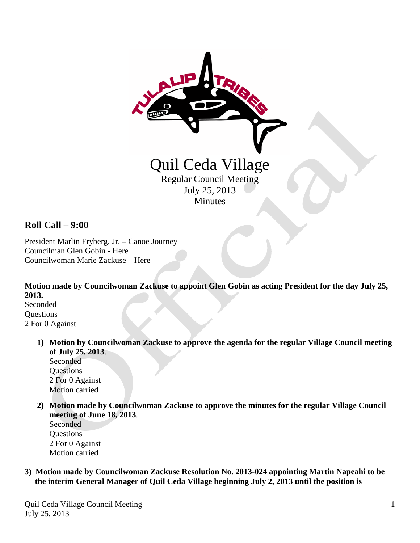

## **Roll Call – 9:00**

President Marlin Fryberg, Jr. – Canoe Journey Councilman Glen Gobin - Here Councilwoman Marie Zackuse – Here

**Motion made by Councilwoman Zackuse to appoint Glen Gobin as acting President for the day July 25, 2013.** Seconded **Ouestions** 

2 For 0 Against

**1) Motion by Councilwoman Zackuse to approve the agenda for the regular Village Council meeting of July 25, 2013**. Seconded

**Ouestions**  2 For 0 Against Motion carried

**2) Motion made by Councilwoman Zackuse to approve the minutes for the regular Village Council meeting of June 18, 2013**.

Seconded **Questions**  2 For 0 Against Motion carried

**3) Motion made by Councilwoman Zackuse Resolution No. 2013-024 appointing Martin Napeahi to be the interim General Manager of Quil Ceda Village beginning July 2, 2013 until the position is**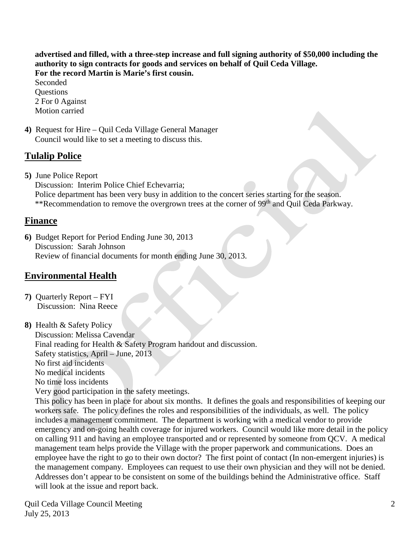**advertised and filled, with a three-step increase and full signing authority of \$50,000 including the authority to sign contracts for goods and services on behalf of Quil Ceda Village. For the record Martin is Marie's first cousin.**

 Seconded **Ouestions**  2 For 0 Against Motion carried

**4)** Request for Hire – Quil Ceda Village General Manager Council would like to set a meeting to discuss this.

# **Tulalip Police**

**5)** June Police Report

 Discussion: Interim Police Chief Echevarria; Police department has been very busy in addition to the concert series starting for the season. \*\*Recommendation to remove the overgrown trees at the corner of 99<sup>th</sup> and Quil Ceda Parkway.

## **Finance**

**6)** Budget Report for Period Ending June 30, 2013 Discussion: Sarah Johnson Review of financial documents for month ending June 30, 2013.

# **Environmental Health**

**7)** Quarterly Report – FYI Discussion: Nina Reece

**8)** Health & Safety Policy Discussion: Melissa Cavendar Final reading for Health & Safety Program handout and discussion. Safety statistics, April – June, 2013 No first aid incidents No medical incidents No time loss incidents Very good participation in the safety meetings. This policy has been in place for about six months. It defines the goals and responsibilities of keeping our

 workers safe. The policy defines the roles and responsibilities of the individuals, as well. The policy includes a management commitment. The department is working with a medical vendor to provide emergency and on-going health coverage for injured workers. Council would like more detail in the policy on calling 911 and having an employee transported and or represented by someone from QCV. A medical management team helps provide the Village with the proper paperwork and communications. Does an employee have the right to go to their own doctor? The first point of contact (In non-emergent injuries) is the management company. Employees can request to use their own physician and they will not be denied. Addresses don't appear to be consistent on some of the buildings behind the Administrative office. Staff will look at the issue and report back.